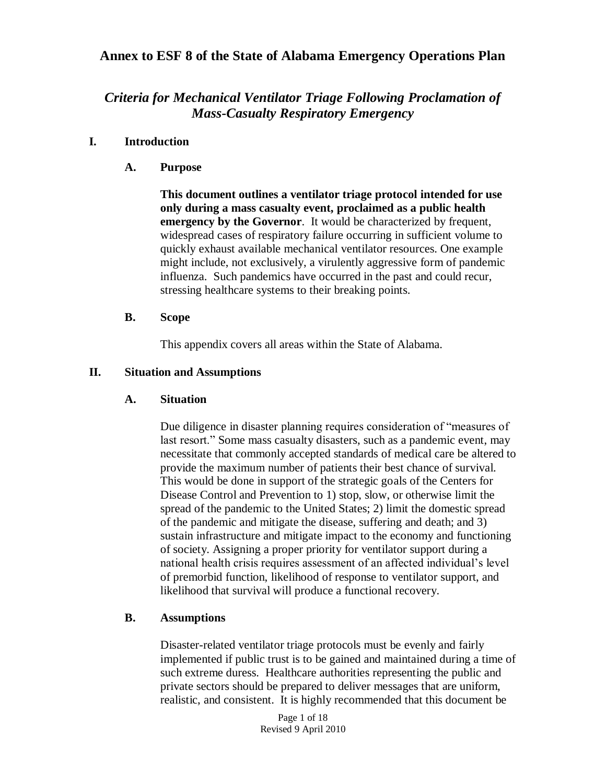# *Criteria for Mechanical Ventilator Triage Following Proclamation of Mass-Casualty Respiratory Emergency*

#### **I. Introduction**

**A. Purpose**

**This document outlines a ventilator triage protocol intended for use only during a mass casualty event, proclaimed as a public health emergency by the Governor**. It would be characterized by frequent, widespread cases of respiratory failure occurring in sufficient volume to quickly exhaust available mechanical ventilator resources. One example might include, not exclusively, a virulently aggressive form of pandemic influenza. Such pandemics have occurred in the past and could recur, stressing healthcare systems to their breaking points.

#### **B. Scope**

This appendix covers all areas within the State of Alabama.

#### **II. Situation and Assumptions**

#### **A. Situation**

Due diligence in disaster planning requires consideration of "measures of last resort." Some mass casualty disasters, such as a pandemic event, may necessitate that commonly accepted standards of medical care be altered to provide the maximum number of patients their best chance of survival. This would be done in support of the strategic goals of the Centers for Disease Control and Prevention to 1) stop, slow, or otherwise limit the spread of the pandemic to the United States; 2) limit the domestic spread of the pandemic and mitigate the disease, suffering and death; and 3) sustain infrastructure and mitigate impact to the economy and functioning of society. Assigning a proper priority for ventilator support during a national health crisis requires assessment of an affected individual's level of premorbid function, likelihood of response to ventilator support, and likelihood that survival will produce a functional recovery.

#### **B. Assumptions**

Disaster-related ventilator triage protocols must be evenly and fairly implemented if public trust is to be gained and maintained during a time of such extreme duress. Healthcare authorities representing the public and private sectors should be prepared to deliver messages that are uniform, realistic, and consistent. It is highly recommended that this document be

> Page 1 of 18 Revised 9 April 2010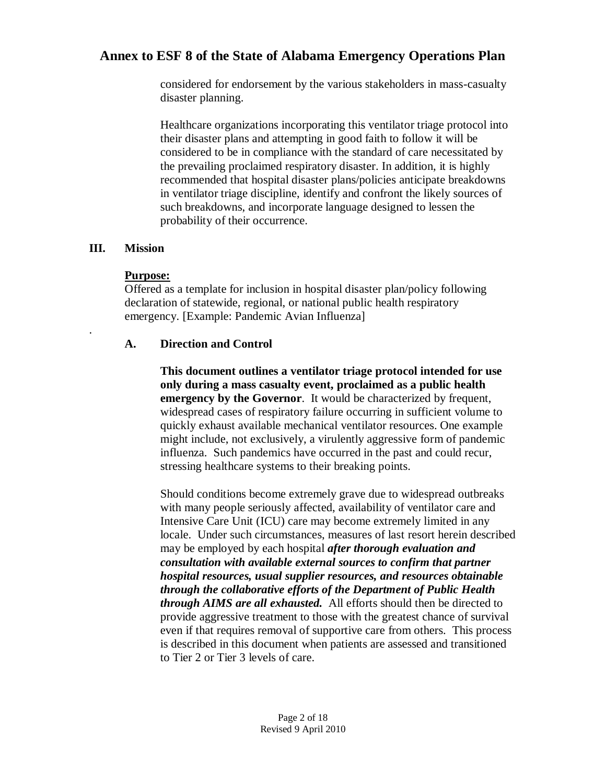considered for endorsement by the various stakeholders in mass-casualty disaster planning.

Healthcare organizations incorporating this ventilator triage protocol into their disaster plans and attempting in good faith to follow it will be considered to be in compliance with the standard of care necessitated by the prevailing proclaimed respiratory disaster. In addition, it is highly recommended that hospital disaster plans/policies anticipate breakdowns in ventilator triage discipline, identify and confront the likely sources of such breakdowns, and incorporate language designed to lessen the probability of their occurrence.

## **III. Mission**

.

### **Purpose:**

Offered as a template for inclusion in hospital disaster plan/policy following declaration of statewide, regional, or national public health respiratory emergency. [Example: Pandemic Avian Influenza]

## **A. Direction and Control**

**This document outlines a ventilator triage protocol intended for use only during a mass casualty event, proclaimed as a public health emergency by the Governor.** It would be characterized by frequent, widespread cases of respiratory failure occurring in sufficient volume to quickly exhaust available mechanical ventilator resources. One example might include, not exclusively, a virulently aggressive form of pandemic influenza. Such pandemics have occurred in the past and could recur, stressing healthcare systems to their breaking points.

Should conditions become extremely grave due to widespread outbreaks with many people seriously affected, availability of ventilator care and Intensive Care Unit (ICU) care may become extremely limited in any locale. Under such circumstances, measures of last resort herein described may be employed by each hospital *after thorough evaluation and consultation with available external sources to confirm that partner hospital resources, usual supplier resources, and resources obtainable through the collaborative efforts of the Department of Public Health through AIMS are all exhausted.* All efforts should then be directed to provide aggressive treatment to those with the greatest chance of survival even if that requires removal of supportive care from others. This process is described in this document when patients are assessed and transitioned to Tier 2 or Tier 3 levels of care.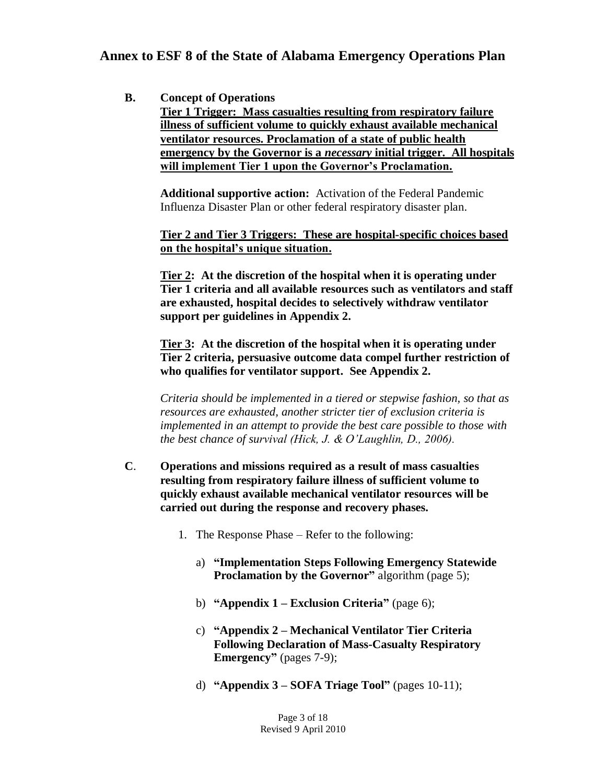### **B. Concept of Operations**

**Tier 1 Trigger: Mass casualties resulting from respiratory failure illness of sufficient volume to quickly exhaust available mechanical ventilator resources. Proclamation of a state of public health emergency by the Governor is a** *necessary* **initial trigger. All hospitals will implement Tier 1 upon the Governor's Proclamation.**

**Additional supportive action:** Activation of the Federal Pandemic Influenza Disaster Plan or other federal respiratory disaster plan.

**Tier 2 and Tier 3 Triggers: These are hospital-specific choices based on the hospital's unique situation.**

**Tier 2: At the discretion of the hospital when it is operating under Tier 1 criteria and all available resources such as ventilators and staff are exhausted, hospital decides to selectively withdraw ventilator support per guidelines in Appendix 2.**

**Tier 3: At the discretion of the hospital when it is operating under Tier 2 criteria, persuasive outcome data compel further restriction of who qualifies for ventilator support. See Appendix 2.** 

*Criteria should be implemented in a tiered or stepwise fashion, so that as resources are exhausted, another stricter tier of exclusion criteria is implemented in an attempt to provide the best care possible to those with the best chance of survival (Hick, J. & O'Laughlin, D., 2006).*

- **C**. **Operations and missions required as a result of mass casualties resulting from respiratory failure illness of sufficient volume to quickly exhaust available mechanical ventilator resources will be carried out during the response and recovery phases.**
	- 1. The Response Phase Refer to the following:
		- a) **"Implementation Steps Following Emergency Statewide Proclamation by the Governor"** algorithm (page 5);
		- b) **"Appendix 1 – Exclusion Criteria"** (page 6);
		- c) **"Appendix 2 – Mechanical Ventilator Tier Criteria Following Declaration of Mass-Casualty Respiratory Emergency"** (pages 7-9);
		- d) **"Appendix 3 – SOFA Triage Tool"** (pages 10-11);

Page 3 of 18 Revised 9 April 2010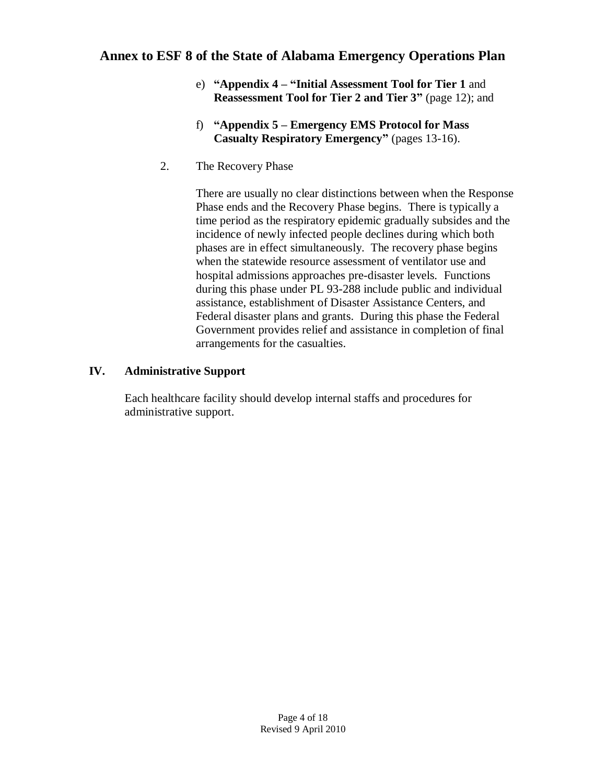- e) **"Appendix 4 – "Initial Assessment Tool for Tier 1** and **Reassessment Tool for Tier 2 and Tier 3"** (page 12); and
- f) **"Appendix 5 – Emergency EMS Protocol for Mass Casualty Respiratory Emergency"** (pages 13-16).
- 2. The Recovery Phase

There are usually no clear distinctions between when the Response Phase ends and the Recovery Phase begins. There is typically a time period as the respiratory epidemic gradually subsides and the incidence of newly infected people declines during which both phases are in effect simultaneously. The recovery phase begins when the statewide resource assessment of ventilator use and hospital admissions approaches pre-disaster levels. Functions during this phase under PL 93-288 include public and individual assistance, establishment of Disaster Assistance Centers, and Federal disaster plans and grants. During this phase the Federal Government provides relief and assistance in completion of final arrangements for the casualties.

## **IV. Administrative Support**

Each healthcare facility should develop internal staffs and procedures for administrative support.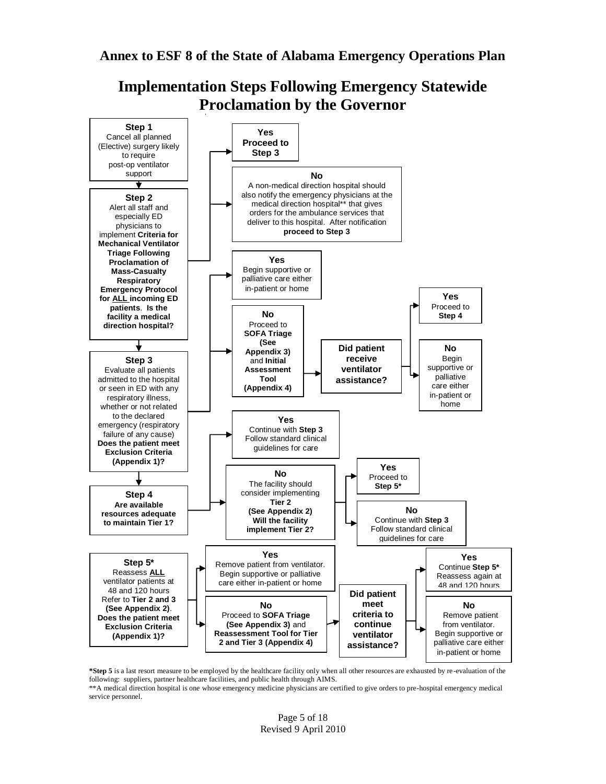**Implementation Steps Following Emergency Statewide Proclamation by the Governor**



**\*Step 5** is a last resort measure to be employed by the healthcare facility only when all other resources are exhausted by re -evaluation of the following: suppliers, partner healthcare facilities, and public health through AIMS. \*\*A medical direction hospital is one whose emergency medicine physicians are certified to give orders to pre-hospital emergency medical

service personnel.

Page 5 of 18 Revised 9 April 2010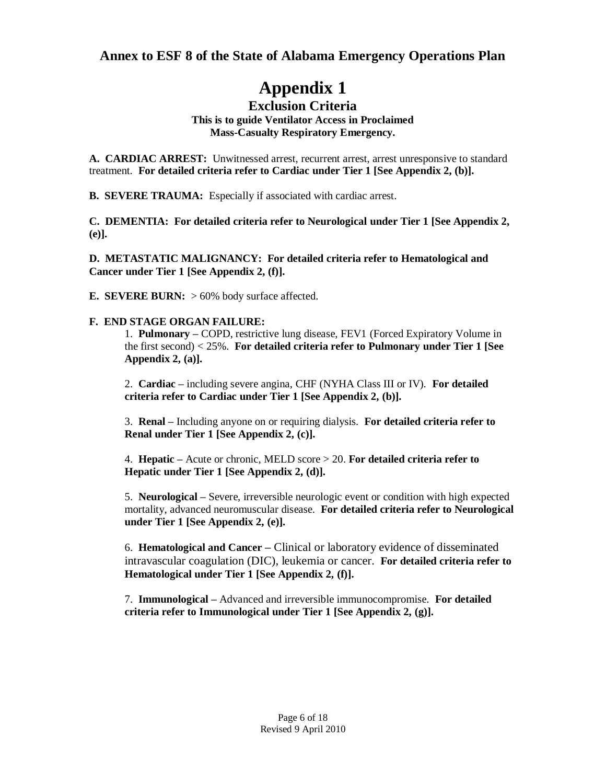# **Appendix 1**

#### **Exclusion Criteria This is to guide Ventilator Access in Proclaimed Mass-Casualty Respiratory Emergency.**

**A. CARDIAC ARREST:** Unwitnessed arrest, recurrent arrest, arrest unresponsive to standard treatment. **For detailed criteria refer to Cardiac under Tier 1 [See Appendix 2, (b)].**

**B. SEVERE TRAUMA:** Especially if associated with cardiac arrest.

**C. DEMENTIA: For detailed criteria refer to Neurological under Tier 1 [See Appendix 2, (e)].** 

**D. METASTATIC MALIGNANCY: For detailed criteria refer to Hematological and Cancer under Tier 1 [See Appendix 2, (f)].**

**E. SEVERE BURN:** > 60% body surface affected.

#### **F. END STAGE ORGAN FAILURE:**

1. **Pulmonary –** COPD, restrictive lung disease, FEV1 (Forced Expiratory Volume in the first second) < 25%. **For detailed criteria refer to Pulmonary under Tier 1 [See Appendix 2, (a)].**

2. **Cardiac –** including severe angina, CHF (NYHA Class III or IV). **For detailed criteria refer to Cardiac under Tier 1 [See Appendix 2, (b)].**

3. **Renal –** Including anyone on or requiring dialysis. **For detailed criteria refer to Renal under Tier 1 [See Appendix 2, (c)].**

4. **Hepatic –** Acute or chronic, MELD score > 20. **For detailed criteria refer to Hepatic under Tier 1 [See Appendix 2, (d)].**

5. **Neurological –** Severe, irreversible neurologic event or condition with high expected mortality, advanced neuromuscular disease. **For detailed criteria refer to Neurological under Tier 1 [See Appendix 2, (e)].**

6. **Hematological and Cancer –** Clinical or laboratory evidence of disseminated intravascular coagulation (DIC), leukemia or cancer. **For detailed criteria refer to Hematological under Tier 1 [See Appendix 2, (f)].**

7. **Immunological –** Advanced and irreversible immunocompromise. **For detailed criteria refer to Immunological under Tier 1 [See Appendix 2, (g)].**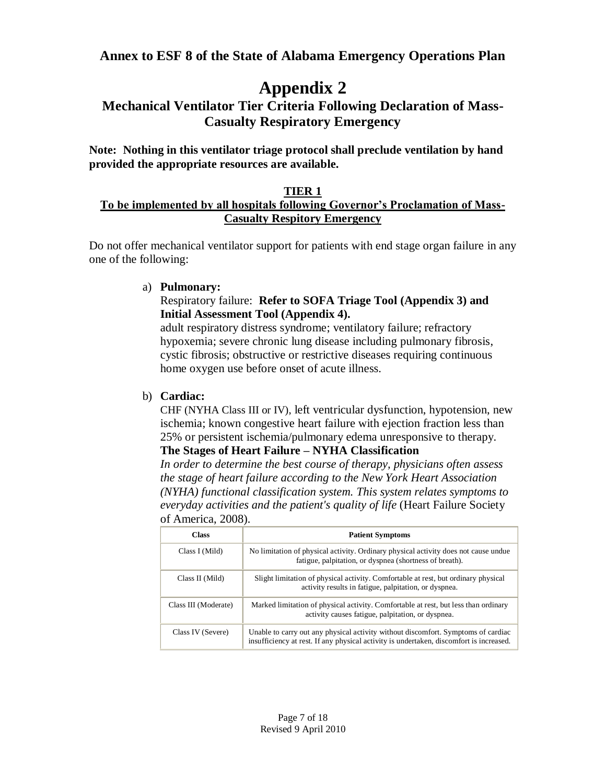# **Appendix 2**

# **Mechanical Ventilator Tier Criteria Following Declaration of Mass-Casualty Respiratory Emergency**

**Note: Nothing in this ventilator triage protocol shall preclude ventilation by hand provided the appropriate resources are available.**

## **TIER 1**

## **To be implemented by all hospitals following Governor's Proclamation of Mass-Casualty Respitory Emergency**

Do not offer mechanical ventilator support for patients with end stage organ failure in any one of the following:

### a) **Pulmonary:**

#### Respiratory failure: **Refer to SOFA Triage Tool (Appendix 3) and Initial Assessment Tool (Appendix 4).**

adult respiratory distress syndrome; ventilatory failure; refractory hypoxemia; severe chronic lung disease including pulmonary fibrosis, cystic fibrosis; obstructive or restrictive diseases requiring continuous home oxygen use before onset of acute illness.

### b) **Cardiac:**

CHF (NYHA Class III or IV), left ventricular dysfunction, hypotension, new ischemia; known congestive heart failure with ejection fraction less than 25% or persistent ischemia/pulmonary edema unresponsive to therapy. **The Stages of Heart Failure – NYHA Classification**

*In order to determine the best course of therapy, physicians often assess the stage of heart failure according to the New York Heart Association (NYHA) functional classification system. This system relates symptoms to everyday activities and the patient's quality of life* (Heart Failure Society of America, 2008)*.*

| <b>Class</b>         | <b>Patient Symptoms</b>                                                                                                                                                      |
|----------------------|------------------------------------------------------------------------------------------------------------------------------------------------------------------------------|
| Class I (Mild)       | No limitation of physical activity. Ordinary physical activity does not cause undue<br>fatigue, palpitation, or dyspnea (shortness of breath).                               |
| Class II (Mild)      | Slight limitation of physical activity. Comfortable at rest, but ordinary physical<br>activity results in fatigue, palpitation, or dyspnea.                                  |
| Class III (Moderate) | Marked limitation of physical activity. Comfortable at rest, but less than ordinary<br>activity causes fatigue, palpitation, or dyspnea.                                     |
| Class IV (Severe)    | Unable to carry out any physical activity without discomfort. Symptoms of cardiac<br>insufficiency at rest. If any physical activity is undertaken, discomfort is increased. |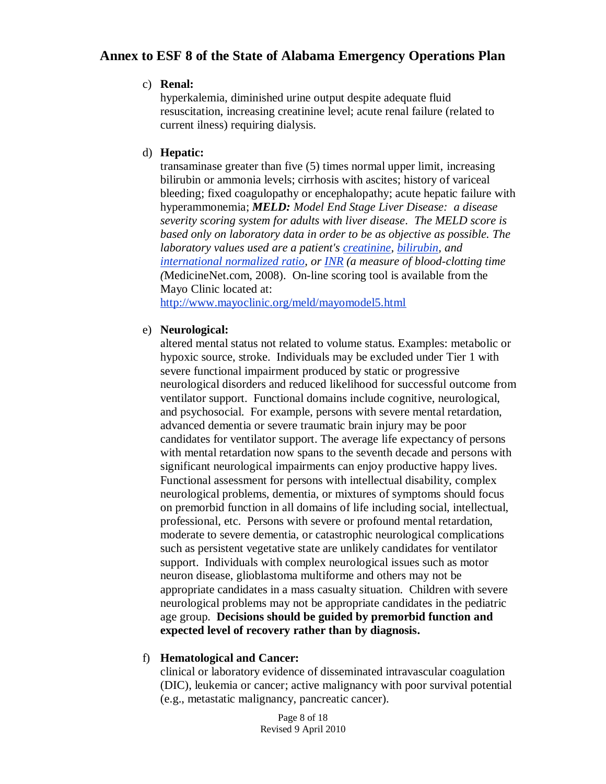#### c) **Renal:**

hyperkalemia, diminished urine output despite adequate fluid resuscitation, increasing creatinine level; acute renal failure (related to current ilness) requiring dialysis.

#### d) **Hepatic:**

transaminase greater than five (5) times normal upper limit, increasing bilirubin or ammonia levels; cirrhosis with ascites; history of variceal bleeding; fixed coagulopathy or encephalopathy; acute hepatic failure with hyperammonemia; *MELD: Model End Stage Liver Disease: a disease severity scoring system for adults with liver disease. The MELD score is based only on laboratory data in order to be as objective as possible. The laboratory values used are a patient's [creatinine,](http://www.medterms.com/script/main/art.asp?articlekey=12550) [bilirubin,](http://www.medterms.com/script/main/art.asp?articlekey=2462) and [international normalized ratio,](http://www.medterms.com/script/main/art.asp?articlekey=9184) or [INR](http://www.medterms.com/script/main/art.asp?articlekey=9185) (a measure of blood-clotting time (*MedicineNet.com, 2008). On-line scoring tool is available from the Mayo Clinic located at:

<http://www.mayoclinic.org/meld/mayomodel5.html>

#### e) **Neurological:**

altered mental status not related to volume status. Examples: metabolic or hypoxic source, stroke. Individuals may be excluded under Tier 1 with severe functional impairment produced by static or progressive neurological disorders and reduced likelihood for successful outcome from ventilator support. Functional domains include cognitive, neurological, and psychosocial. For example, persons with severe mental retardation, advanced dementia or severe traumatic brain injury may be poor candidates for ventilator support. The average life expectancy of persons with mental retardation now spans to the seventh decade and persons with significant neurological impairments can enjoy productive happy lives. Functional assessment for persons with intellectual disability, complex neurological problems, dementia, or mixtures of symptoms should focus on premorbid function in all domains of life including social, intellectual, professional, etc. Persons with severe or profound mental retardation, moderate to severe dementia, or catastrophic neurological complications such as persistent vegetative state are unlikely candidates for ventilator support. Individuals with complex neurological issues such as motor neuron disease, glioblastoma multiforme and others may not be appropriate candidates in a mass casualty situation. Children with severe neurological problems may not be appropriate candidates in the pediatric age group. **Decisions should be guided by premorbid function and expected level of recovery rather than by diagnosis.**

### f) **Hematological and Cancer:**

clinical or laboratory evidence of disseminated intravascular coagulation (DIC), leukemia or cancer; active malignancy with poor survival potential (e.g., metastatic malignancy, pancreatic cancer).

> Page 8 of 18 Revised 9 April 2010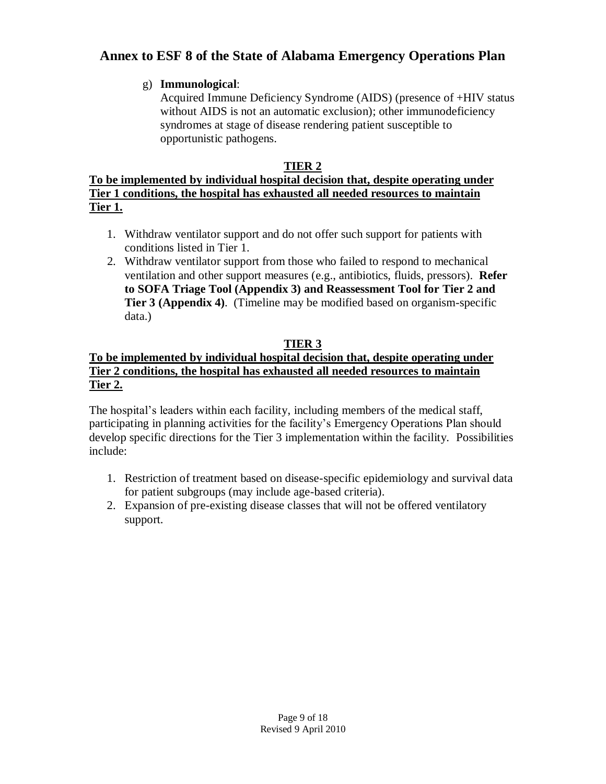## g) **Immunological**:

Acquired Immune Deficiency Syndrome (AIDS) (presence of +HIV status without AIDS is not an automatic exclusion); other immunodeficiency syndromes at stage of disease rendering patient susceptible to opportunistic pathogens.

## **TIER 2**

## **To be implemented by individual hospital decision that, despite operating under Tier 1 conditions, the hospital has exhausted all needed resources to maintain Tier 1.**

- 1. Withdraw ventilator support and do not offer such support for patients with conditions listed in Tier 1.
- 2. Withdraw ventilator support from those who failed to respond to mechanical ventilation and other support measures (e.g., antibiotics, fluids, pressors). **Refer to SOFA Triage Tool (Appendix 3) and Reassessment Tool for Tier 2 and Tier 3 (Appendix 4)**. (Timeline may be modified based on organism-specific data.)

# **TIER 3**

## **To be implemented by individual hospital decision that, despite operating under Tier 2 conditions, the hospital has exhausted all needed resources to maintain Tier 2.**

The hospital's leaders within each facility, including members of the medical staff, participating in planning activities for the facility's Emergency Operations Plan should develop specific directions for the Tier 3 implementation within the facility. Possibilities include:

- 1. Restriction of treatment based on disease-specific epidemiology and survival data for patient subgroups (may include age-based criteria).
- 2. Expansion of pre-existing disease classes that will not be offered ventilatory support.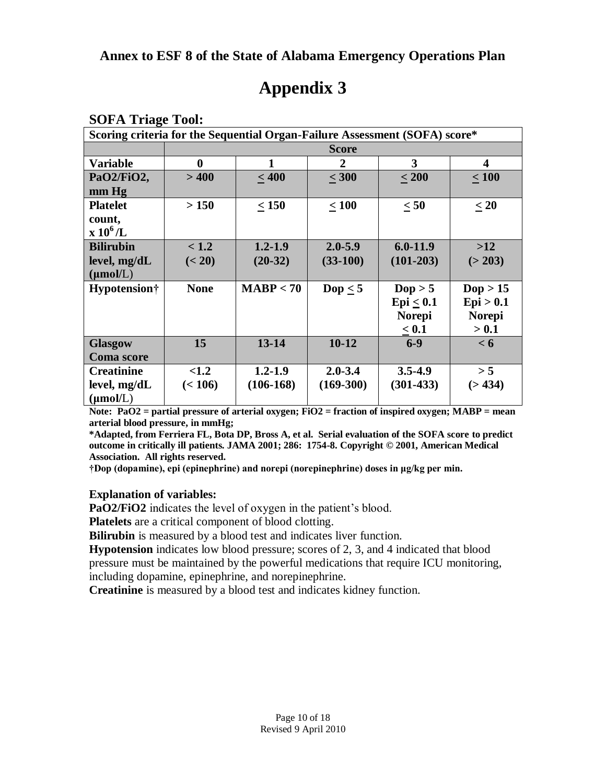| <b>SOFA Triage Tool:</b> |                                                                            |             |              |                  |                   |
|--------------------------|----------------------------------------------------------------------------|-------------|--------------|------------------|-------------------|
|                          | Scoring criteria for the Sequential Organ-Failure Assessment (SOFA) score* |             |              |                  |                   |
|                          | <b>Score</b>                                                               |             |              |                  |                   |
| <b>Variable</b>          | $\bf{0}$                                                                   | 1           | $\mathbf{2}$ | 3                | 4                 |
| PaO2/FiO2,               | >400                                                                       | < 400       | $\leq 300$   | $\leq 200$       | $\leq 100$        |
| $mm$ Hg                  |                                                                            |             |              |                  |                   |
| <b>Platelet</b>          | >150                                                                       | $\leq 150$  | $\leq 100$   | $\leq 50$        | $\leq 20$         |
| count,                   |                                                                            |             |              |                  |                   |
| $\rm x~10^6/L$           |                                                                            |             |              |                  |                   |
| <b>Bilirubin</b>         | < 1.2                                                                      | $1.2 - 1.9$ | $2.0 - 5.9$  | $6.0 - 11.9$     | >12               |
| level, mg/dL             | (< 20)                                                                     | $(20-32)$   | $(33-100)$   | $(101-203)$      | (> 203)           |
| $(\mu \text{mol/L})$     |                                                                            |             |              |                  |                   |
| Hypotension†             | <b>None</b>                                                                | MABP < 70   | Dop $\leq$ 5 | $\text{Dop} > 5$ | $\text{Dop} > 15$ |
|                          |                                                                            |             |              | $Epi \leq 0.1$   | Epi > 0.1         |
|                          |                                                                            |             |              | <b>Norepi</b>    | <b>Norepi</b>     |
|                          |                                                                            |             |              | $\leq 0.1$       | > 0.1             |
| <b>Glasgow</b>           | 15                                                                         | $13 - 14$   | $10-12$      | $6 - 9$          | < 6               |
| <b>Coma</b> score        |                                                                            |             |              |                  |                   |
| <b>Creatinine</b>        | <1.2                                                                       | $1.2 - 1.9$ | $2.0 - 3.4$  | $3.5 - 4.9$      | > 5               |
| level, mg/dL             | (< 106)                                                                    | $(106-168)$ | $(169-300)$  | $(301-433)$      | (>434)            |
| $(\mu mol/L)$            |                                                                            |             |              |                  |                   |

# **Appendix 3**

**Note: PaO2 = partial pressure of arterial oxygen; FiO2 = fraction of inspired oxygen; MABP = mean arterial blood pressure, in mmHg;**

**\*Adapted, from Ferriera FL, Bota DP, Bross A, et al. Serial evaluation of the SOFA score to predict outcome in critically ill patients. JAMA 2001; 286: 1754-8. Copyright © 2001, American Medical Association. All rights reserved.**

**†Dop (dopamine), epi (epinephrine) and norepi (norepinephrine) doses in μg/kg per min.**

### **Explanation of variables:**

**PaO2/FiO2** indicates the level of oxygen in the patient's blood.

**Platelets** are a critical component of blood clotting.

**Bilirubin** is measured by a blood test and indicates liver function.

**Hypotension** indicates low blood pressure; scores of 2, 3, and 4 indicated that blood pressure must be maintained by the powerful medications that require ICU monitoring, including dopamine, epinephrine, and norepinephrine.

**Creatinine** is measured by a blood test and indicates kidney function.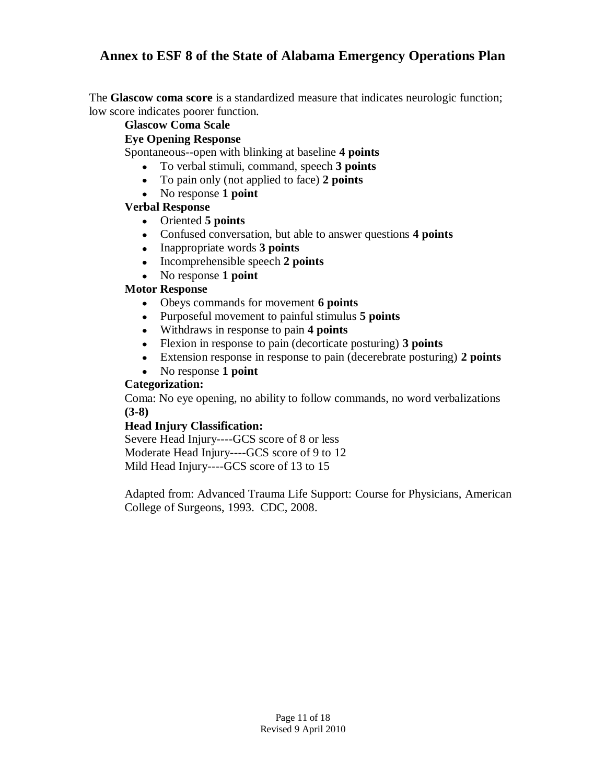The **Glascow coma score** is a standardized measure that indicates neurologic function; low score indicates poorer function.

### **Glascow Coma Scale**

#### **Eye Opening Response**

Spontaneous--open with blinking at baseline **4 points**

- To verbal stimuli, command, speech **3 points**
- To pain only (not applied to face) **2 points**
- No response **1 point**

## **Verbal Response**

- Oriented **5 points**
- Confused conversation, but able to answer questions **4 points**
- Inappropriate words **3 points**
- Incomprehensible speech 2 points
- No response **1 point**

## **Motor Response**

- Obeys commands for movement **6 points**
- Purposeful movement to painful stimulus **5 points**
- Withdraws in response to pain **4 points**
- Flexion in response to pain (decorticate posturing) **3 points**
- Extension response in response to pain (decerebrate posturing) **2 points**
- No response 1 point

## **Categorization:**

Coma: No eye opening, no ability to follow commands, no word verbalizations **(3-8)**

### **Head Injury Classification:**

Severe Head Injury----GCS score of 8 or less Moderate Head Injury----GCS score of 9 to 12 Mild Head Injury----GCS score of 13 to 15

Adapted from: Advanced Trauma Life Support: Course for Physicians, American College of Surgeons, 1993. CDC, 2008.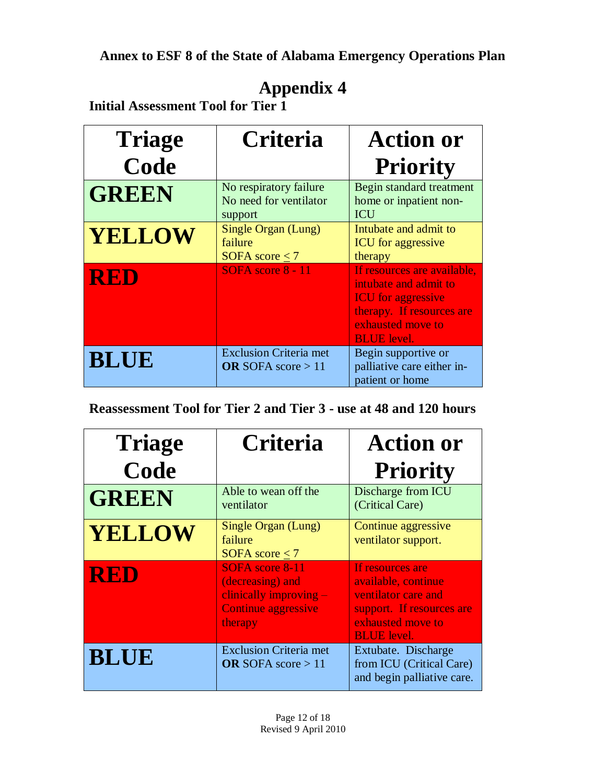# **Appendix 4**

**Initial Assessment Tool for Tier 1**

| <b>Triage</b> | <b>Criteria</b>                                             | <b>Action or</b>                                                                                                                                          |
|---------------|-------------------------------------------------------------|-----------------------------------------------------------------------------------------------------------------------------------------------------------|
| Code          |                                                             | <b>Priority</b>                                                                                                                                           |
| <b>GREEN</b>  | No respiratory failure<br>No need for ventilator<br>support | Begin standard treatment<br>home or inpatient non-<br><b>ICU</b>                                                                                          |
| <b>YELLOW</b> | Single Organ (Lung)<br>failure<br>SOFA score $\leq$ 7       | Intubate and admit to<br><b>ICU</b> for aggressive<br>therapy                                                                                             |
| <b>RED</b>    | SOFA score 8 - 11                                           | If resources are available,<br>intubate and admit to<br><b>ICU</b> for aggressive<br>therapy. If resources are<br>exhausted move to<br><b>BLUE</b> level. |
| <b>BLUE</b>   | <b>Exclusion Criteria met</b><br>OR SOFA score $>11$        | Begin supportive or<br>palliative care either in-<br>patient or home                                                                                      |

**Reassessment Tool for Tier 2 and Tier 3 - use at 48 and 120 hours**

| <b>Triage</b> | <b>Criteria</b>                                                                                   | <b>Action or</b>                                                                                                                       |
|---------------|---------------------------------------------------------------------------------------------------|----------------------------------------------------------------------------------------------------------------------------------------|
| Code          |                                                                                                   | <b>Priority</b>                                                                                                                        |
| <b>GREEN</b>  | Able to wean off the<br>ventilator                                                                | Discharge from ICU<br>(Critical Care)                                                                                                  |
| <b>YELLOW</b> | Single Organ (Lung)<br>failure<br>SOFA score $<$ 7                                                | Continue aggressive<br>ventilator support.                                                                                             |
| <b>RED</b>    | SOFA score 8-11<br>(decreasing) and<br>clinically improving $-$<br>Continue aggressive<br>therapy | If resources are<br>available, continue<br>ventilator care and<br>support. If resources are<br>exhausted move to<br><b>BLUE</b> level. |
| <b>BLUE</b>   | <b>Exclusion Criteria met</b><br><b>OR</b> SOFA score $>11$                                       | Extubate. Discharge<br>from ICU (Critical Care)<br>and begin palliative care.                                                          |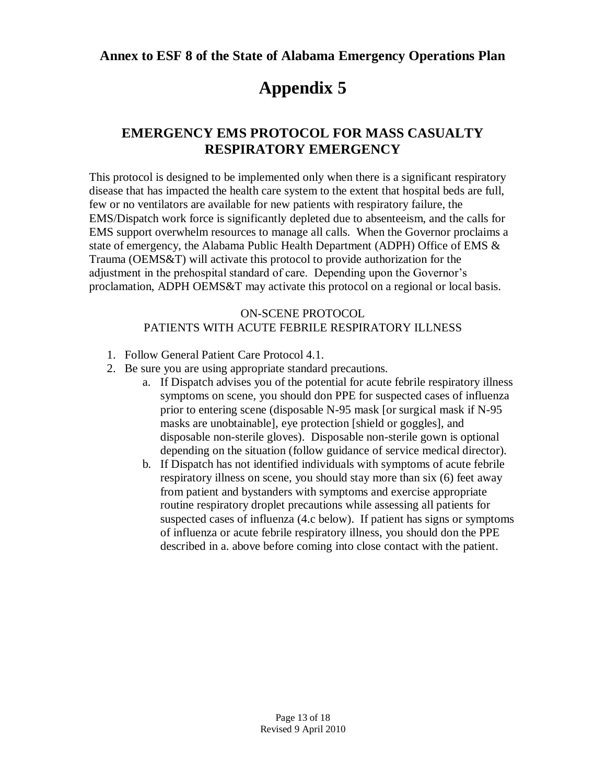# **Appendix 5**

# **EMERGENCY EMS PROTOCOL FOR MASS CASUALTY RESPIRATORY EMERGENCY**

This protocol is designed to be implemented only when there is a significant respiratory disease that has impacted the health care system to the extent that hospital beds are full, few or no ventilators are available for new patients with respiratory failure, the EMS/Dispatch work force is significantly depleted due to absenteeism, and the calls for EMS support overwhelm resources to manage all calls. When the Governor proclaims a state of emergency, the Alabama Public Health Department (ADPH) Office of EMS & Trauma (OEMS&T) will activate this protocol to provide authorization for the adjustment in the prehospital standard of care. Depending upon the Governor's proclamation, ADPH OEMS&T may activate this protocol on a regional or local basis.

#### ON-SCENE PROTOCOL PATIENTS WITH ACUTE FEBRILE RESPIRATORY ILLNESS

- 1. Follow General Patient Care Protocol 4.1.
- 2. Be sure you are using appropriate standard precautions.
	- a. If Dispatch advises you of the potential for acute febrile respiratory illness symptoms on scene, you should don PPE for suspected cases of influenza prior to entering scene (disposable N-95 mask [or surgical mask if N-95 masks are unobtainable], eye protection [shield or goggles], and disposable non-sterile gloves). Disposable non-sterile gown is optional depending on the situation (follow guidance of service medical director).
	- b. If Dispatch has not identified individuals with symptoms of acute febrile respiratory illness on scene, you should stay more than six (6) feet away from patient and bystanders with symptoms and exercise appropriate routine respiratory droplet precautions while assessing all patients for suspected cases of influenza (4.c below). If patient has signs or symptoms of influenza or acute febrile respiratory illness, you should don the PPE described in a. above before coming into close contact with the patient.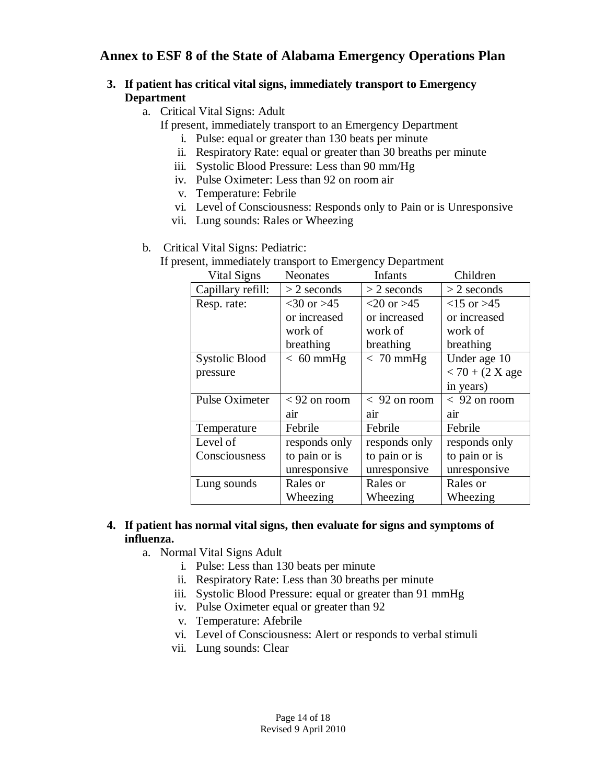### **3. If patient has critical vital signs, immediately transport to Emergency Department**

- a. Critical Vital Signs: Adult
	- If present, immediately transport to an Emergency Department
		- i. Pulse: equal or greater than 130 beats per minute
		- ii. Respiratory Rate: equal or greater than 30 breaths per minute
		- iii. Systolic Blood Pressure: Less than 90 mm/Hg
		- iv. Pulse Oximeter: Less than 92 on room air
		- v. Temperature: Febrile
		- vi. Level of Consciousness: Responds only to Pain or is Unresponsive
		- vii. Lung sounds: Rales or Wheezing

### b. Critical Vital Signs: Pediatric:

If present, immediately transport to Emergency Department

| Vital Signs       | <b>Neonates</b>  | Infants        | Children           |
|-------------------|------------------|----------------|--------------------|
| Capillary refill: | $>$ 2 seconds    | $>$ 2 seconds  | $>$ 2 seconds      |
| Resp. rate:       | $<$ 30 or $>$ 45 | $<20$ or $>45$ | $<15$ or $>45$     |
|                   | or increased     | or increased   | or increased       |
|                   | work of          | work of        | work of            |
|                   | breathing        | breathing      | breathing          |
| Systolic Blood    | $< 60$ mmHg      | $< 70$ mmHg    | Under age 10       |
| pressure          |                  |                | $< 70 + (2 X)$ age |
|                   |                  |                | in years)          |
| Pulse Oximeter    | $<$ 92 on room   | $< 92$ on room | $< 92$ on room     |
|                   | air              | air            | air                |
| Temperature       | Febrile          | Febrile        | Febrile            |
| Level of          | responds only    | responds only  | responds only      |
| Consciousness     | to pain or is    | to pain or is  | to pain or is      |
|                   | unresponsive     | unresponsive   | unresponsive       |
| Lung sounds       | Rales or         | Rales or       | Rales or           |
|                   | Wheezing         | Wheezing       | Wheezing           |

### **4. If patient has normal vital signs, then evaluate for signs and symptoms of influenza.**

- a. Normal Vital Signs Adult
	- i. Pulse: Less than 130 beats per minute
	- ii. Respiratory Rate: Less than 30 breaths per minute
	- iii. Systolic Blood Pressure: equal or greater than 91 mmHg
	- iv. Pulse Oximeter equal or greater than 92
	- v. Temperature: Afebrile
	- vi. Level of Consciousness: Alert or responds to verbal stimuli
	- vii. Lung sounds: Clear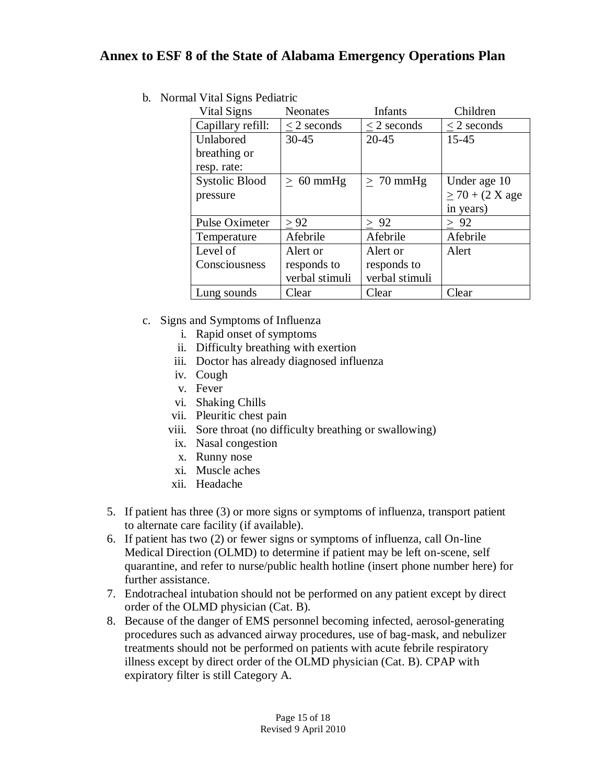b. Normal Vital Signs Pediatric

| Vital Signs           | <b>Neonates</b> | Infants        | Children             |
|-----------------------|-----------------|----------------|----------------------|
| Capillary refill:     | $<$ 2 seconds   | $<$ 2 seconds  | $<$ 2 seconds        |
| Unlabored             | $30 - 45$       | $20 - 45$      | $15 - 45$            |
| breathing or          |                 |                |                      |
| resp. rate:           |                 |                |                      |
| <b>Systolic Blood</b> | $> 60$ mmHg     | $> 70$ mmHg    | Under age 10         |
| pressure              |                 |                | $\geq$ 70 + (2 X age |
|                       |                 |                | in years)            |
| <b>Pulse Oximeter</b> | > 92            | > 92           | > 92                 |
| Temperature           | Afebrile        | Afebrile       | Afebrile             |
| Level of              | Alert or        | Alert or       | Alert                |
| Consciousness         | responds to     | responds to    |                      |
|                       | verbal stimuli  | verbal stimuli |                      |
| Lung sounds           | Clear           | Clear          | Clear                |

- c. Signs and Symptoms of Influenza
	- i. Rapid onset of symptoms
	- ii. Difficulty breathing with exertion
	- iii. Doctor has already diagnosed influenza
	- iv. Cough
	- v. Fever
	- vi. Shaking Chills
	- vii. Pleuritic chest pain
	- viii. Sore throat (no difficulty breathing or swallowing)
	- ix. Nasal congestion
	- x. Runny nose
	- xi. Muscle aches
	- xii. Headache
- 5. If patient has three (3) or more signs or symptoms of influenza, transport patient to alternate care facility (if available).
- 6. If patient has two (2) or fewer signs or symptoms of influenza, call On-line Medical Direction (OLMD) to determine if patient may be left on-scene, self quarantine, and refer to nurse/public health hotline (insert phone number here) for further assistance.
- 7. Endotracheal intubation should not be performed on any patient except by direct order of the OLMD physician (Cat. B).
- 8. Because of the danger of EMS personnel becoming infected, aerosol-generating procedures such as advanced airway procedures, use of bag-mask, and nebulizer treatments should not be performed on patients with acute febrile respiratory illness except by direct order of the OLMD physician (Cat. B). CPAP with expiratory filter is still Category A.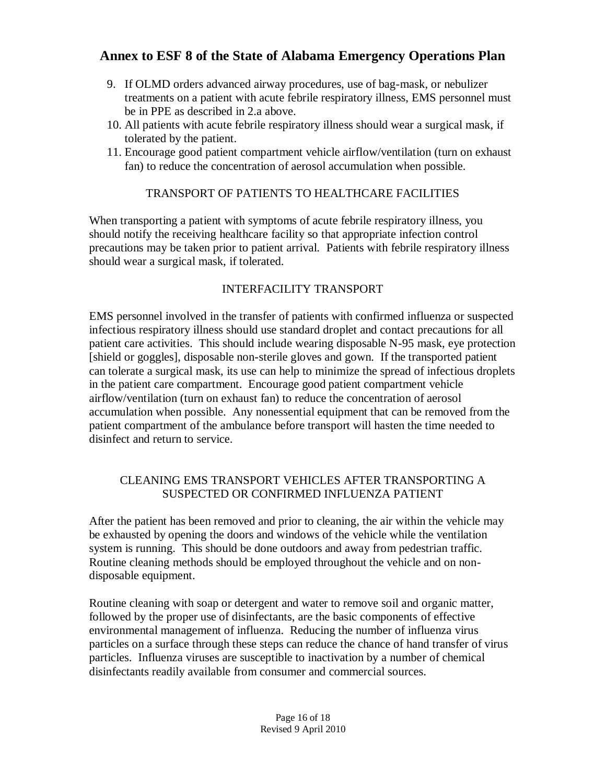- 9. If OLMD orders advanced airway procedures, use of bag-mask, or nebulizer treatments on a patient with acute febrile respiratory illness, EMS personnel must be in PPE as described in 2.a above.
- 10. All patients with acute febrile respiratory illness should wear a surgical mask, if tolerated by the patient.
- 11. Encourage good patient compartment vehicle airflow/ventilation (turn on exhaust fan) to reduce the concentration of aerosol accumulation when possible.

## TRANSPORT OF PATIENTS TO HEALTHCARE FACILITIES

When transporting a patient with symptoms of acute febrile respiratory illness, you should notify the receiving healthcare facility so that appropriate infection control precautions may be taken prior to patient arrival. Patients with febrile respiratory illness should wear a surgical mask, if tolerated.

## INTERFACILITY TRANSPORT

EMS personnel involved in the transfer of patients with confirmed influenza or suspected infectious respiratory illness should use standard droplet and contact precautions for all patient care activities. This should include wearing disposable N-95 mask, eye protection [shield or goggles], disposable non-sterile gloves and gown. If the transported patient can tolerate a surgical mask, its use can help to minimize the spread of infectious droplets in the patient care compartment. Encourage good patient compartment vehicle airflow/ventilation (turn on exhaust fan) to reduce the concentration of aerosol accumulation when possible. Any nonessential equipment that can be removed from the patient compartment of the ambulance before transport will hasten the time needed to disinfect and return to service.

## CLEANING EMS TRANSPORT VEHICLES AFTER TRANSPORTING A SUSPECTED OR CONFIRMED INFLUENZA PATIENT

After the patient has been removed and prior to cleaning, the air within the vehicle may be exhausted by opening the doors and windows of the vehicle while the ventilation system is running. This should be done outdoors and away from pedestrian traffic. Routine cleaning methods should be employed throughout the vehicle and on nondisposable equipment.

Routine cleaning with soap or detergent and water to remove soil and organic matter, followed by the proper use of disinfectants, are the basic components of effective environmental management of influenza. Reducing the number of influenza virus particles on a surface through these steps can reduce the chance of hand transfer of virus particles. Influenza viruses are susceptible to inactivation by a number of chemical disinfectants readily available from consumer and commercial sources.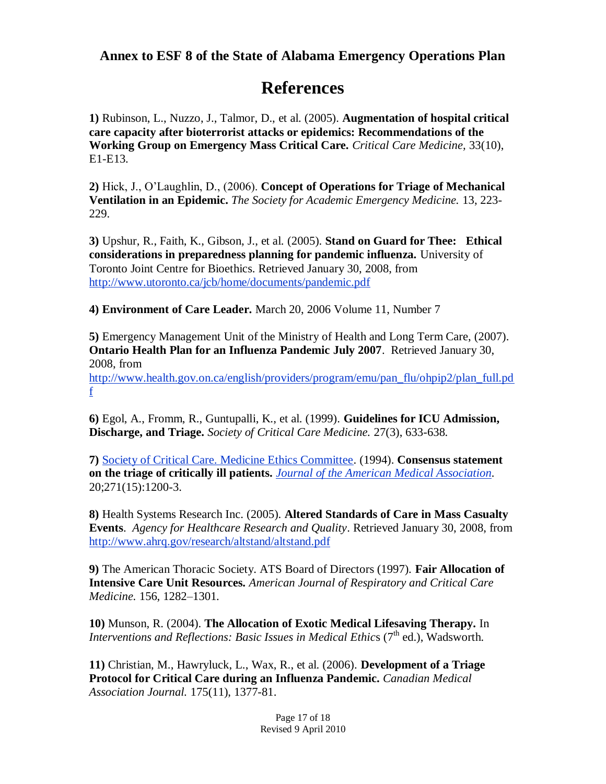# **References**

**1)** Rubinson, L., Nuzzo, J., Talmor, D., et al. (2005). **Augmentation of hospital critical care capacity after bioterrorist attacks or epidemics: Recommendations of the Working Group on Emergency Mass Critical Care.** *Critical Care Medicine,* 33(10), E1-E13.

**2)** Hick, J., O'Laughlin, D., (2006). **Concept of Operations for Triage of Mechanical Ventilation in an Epidemic.** *The Society for Academic Emergency Medicine.* 13, 223- 229.

**3)** Upshur, R., Faith, K., Gibson, J., et al. (2005). **Stand on Guard for Thee: Ethical considerations in preparedness planning for pandemic influenza.** University of Toronto Joint Centre for Bioethics. Retrieved January 30, 2008, from <http://www.utoronto.ca/jcb/home/documents/pandemic.pdf>

**4) Environment of Care Leader.** March 20, 2006 Volume 11, Number 7

**5)** Emergency Management Unit of the Ministry of Health and Long Term Care, (2007). **Ontario Health Plan for an Influenza Pandemic July 2007**. Retrieved January 30, 2008, from [http://www.health.gov.on.ca/english/providers/program/emu/pan\\_flu/ohpip2/plan\\_full.pd](http://www.health.gov.on.ca/english/providers/program/emu/pan_flu/ohpip2/plan_full.pdf) [f](http://www.health.gov.on.ca/english/providers/program/emu/pan_flu/ohpip2/plan_full.pdf)

**6)** Egol, A., Fromm, R., Guntupalli, K., et al. (1999). **Guidelines for ICU Admission, Discharge, and Triage.** *Society of Critical Care Medicine.* 27(3), 633-638.

**7)** [Society of Critical Care. Medicine Ethics Committee.](javascript:__doLinkPostBack() (1994). **Consensus statement on the triage of critically ill patients.** *[Journal of the American Medical Association.](javascript:__doLinkPostBack()*  20;271(15):1200-3.

**8)** Health Systems Research Inc. (2005). **Altered Standards of Care in Mass Casualty Events**. *Agency for Healthcare Research and Quality*. Retrieved January 30, 2008, from <http://www.ahrq.gov/research/altstand/altstand.pdf>

**9)** The American Thoracic Society. ATS Board of Directors (1997). **Fair Allocation of Intensive Care Unit Resources.** *American Journal of Respiratory and Critical Care Medicine.* 156, 1282–1301.

**10)** Munson, R. (2004). **The Allocation of Exotic Medical Lifesaving Therapy.** In *Interventions and Reflections: Basic Issues in Medical Ethics* (7<sup>th</sup> ed.), Wadsworth.

**11)** Christian, M., Hawryluck, L., Wax, R., et al. (2006). **Development of a Triage Protocol for Critical Care during an Influenza Pandemic.** *Canadian Medical Association Journal.* 175(11), 1377-81.

> Page 17 of 18 Revised 9 April 2010